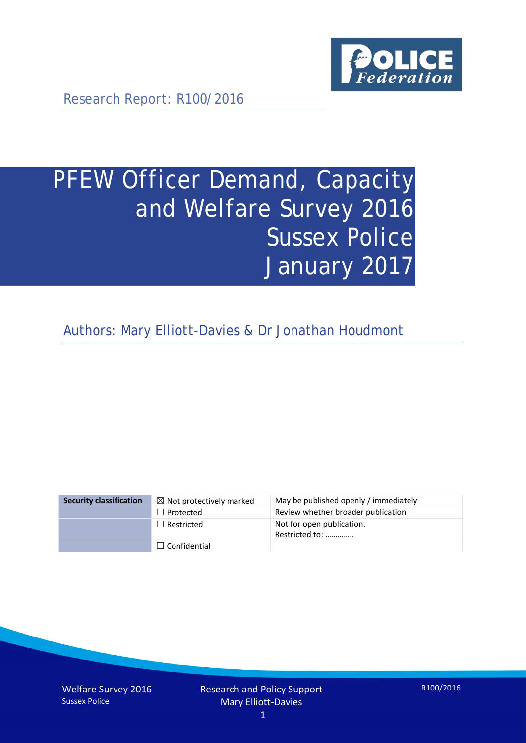

Research Report: R100/2016

# PFEW Officer Demand, Capacity and Welfare Survey 2016 Sussex Police January 2017

Authors: Mary Elliott-Davies & Dr Jonathan Houdmont

| <b>Security classification</b> | $\boxtimes$ Not protectively marked | May be published openly / immediately       |
|--------------------------------|-------------------------------------|---------------------------------------------|
|                                | $\Box$ Protected                    | Review whether broader publication          |
|                                | $\Box$ Restricted                   | Not for open publication.<br>Restricted to: |
|                                | $\Box$ Confidential                 |                                             |

Welfare Survey 2016 Sussex Police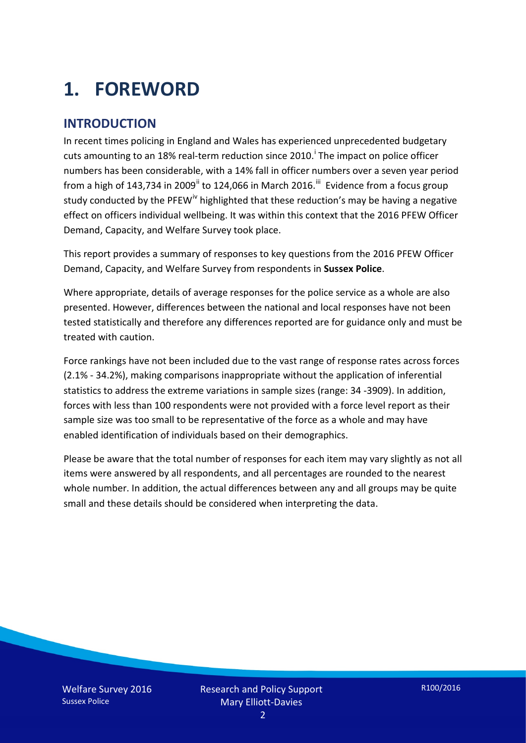# **1. FOREWORD**

#### **INTRODUCTION**

In recent times policing in England and Wales has experienced unprecedented budgetary cuts amount[i](#page-15-0)ng to an 18% real-term reduction since 2010.<sup>1</sup> The impact on police officer numbers has been considerable, with a 14% fall in officer numbers over a seven year period from a high of 143,734 in 2009<sup>[ii](#page-15-1)</sup> to 124,066 in March 2016.<sup>[iii](#page-15-2)</sup> Evidence from a focus group study conducted by the PFEW<sup>[iv](#page-15-3)</sup> highlighted that these reduction's may be having a negative effect on officers individual wellbeing. It was within this context that the 2016 PFEW Officer Demand, Capacity, and Welfare Survey took place.

This report provides a summary of responses to key questions from the 2016 PFEW Officer Demand, Capacity, and Welfare Survey from respondents in **Sussex Police**.

Where appropriate, details of average responses for the police service as a whole are also presented. However, differences between the national and local responses have not been tested statistically and therefore any differences reported are for guidance only and must be treated with caution.

Force rankings have not been included due to the vast range of response rates across forces (2.1% - 34.2%), making comparisons inappropriate without the application of inferential statistics to address the extreme variations in sample sizes (range: 34 -3909). In addition, forces with less than 100 respondents were not provided with a force level report as their sample size was too small to be representative of the force as a whole and may have enabled identification of individuals based on their demographics.

Please be aware that the total number of responses for each item may vary slightly as not all items were answered by all respondents, and all percentages are rounded to the nearest whole number. In addition, the actual differences between any and all groups may be quite small and these details should be considered when interpreting the data.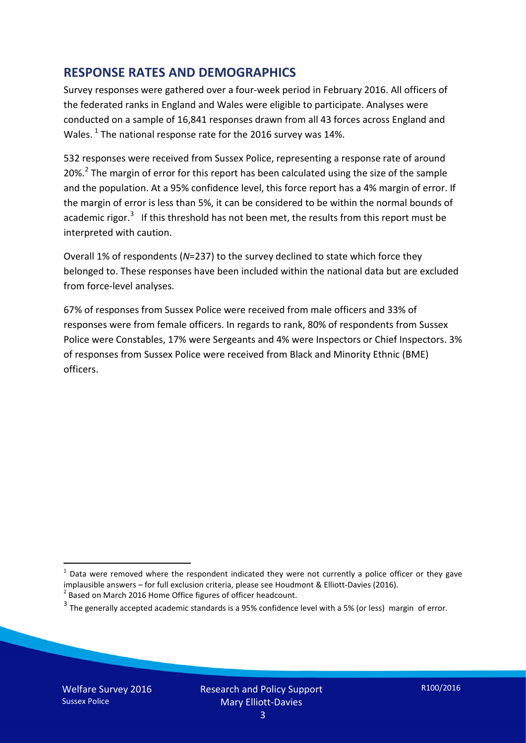#### **RESPONSE RATES AND DEMOGRAPHICS**

Survey responses were gathered over a four-week period in February 2016. All officers of the federated ranks in England and Wales were eligible to participate. Analyses were conducted on a sample of 16,841 responses drawn from all 43 forces across England and Wales.  $^1$  $^1$  The national response rate for the 2016 survey was 14%.

532 responses were received from Sussex Police, representing a response rate of around [2](#page-2-1)0%.<sup>2</sup> The margin of error for this report has been calculated using the size of the sample and the population. At a 95% confidence level, this force report has a 4% margin of error. If the margin of error is less than 5%, it can be considered to be within the normal bounds of academic rigor.<sup>[3](#page-2-2)</sup> If this threshold has not been met, the results from this report must be interpreted with caution.

Overall 1% of respondents (*N*=237) to the survey declined to state which force they belonged to. These responses have been included within the national data but are excluded from force-level analyses.

67% of responses from Sussex Police were received from male officers and 33% of responses were from female officers. In regards to rank, 80% of respondents from Sussex Police were Constables, 17% were Sergeants and 4% were Inspectors or Chief Inspectors. 3% of responses from Sussex Police were received from Black and Minority Ethnic (BME) officers.

-

<span id="page-2-0"></span> $1$  Data were removed where the respondent indicated they were not currently a police officer or they gave implausible answers – for full exclusion criteria, please see Houdmont & Elliott-Davies (2016).<br><sup>2</sup> Based on March 2016 Home Office figures of officer headcount.

<span id="page-2-1"></span>

<span id="page-2-2"></span> $3$  The generally accepted academic standards is a 95% confidence level with a 5% (or less) margin of error.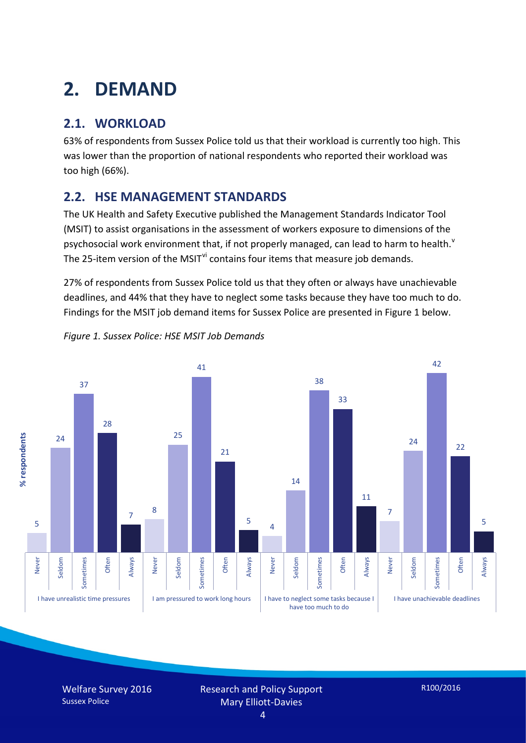# **2. DEMAND**

## **2.1. WORKLOAD**

63% of respondents from Sussex Police told us that their workload is currently too high. This was lower than the proportion of national respondents who reported their workload was too high (66%).

#### **2.2. HSE MANAGEMENT STANDARDS**

The UK Health and Safety Executive published the Management Standards Indicator Tool (MSIT) to assist organisations in the assessment of workers exposure to dimensions of the psychosocial work en[v](#page-15-4)ironment that, if not properly managed, can lead to harm to health.<sup>v</sup> The 25-item version of the MSIT<sup>[vi](#page-15-5)</sup> contains four items that measure job demands.

27% of respondents from Sussex Police told us that they often or always have unachievable deadlines, and 44% that they have to neglect some tasks because they have too much to do. Findings for the MSIT job demand items for Sussex Police are presented in Figure 1 below.



*Figure 1. Sussex Police: HSE MSIT Job Demands*

Welfare Survey 2016 Sussex Police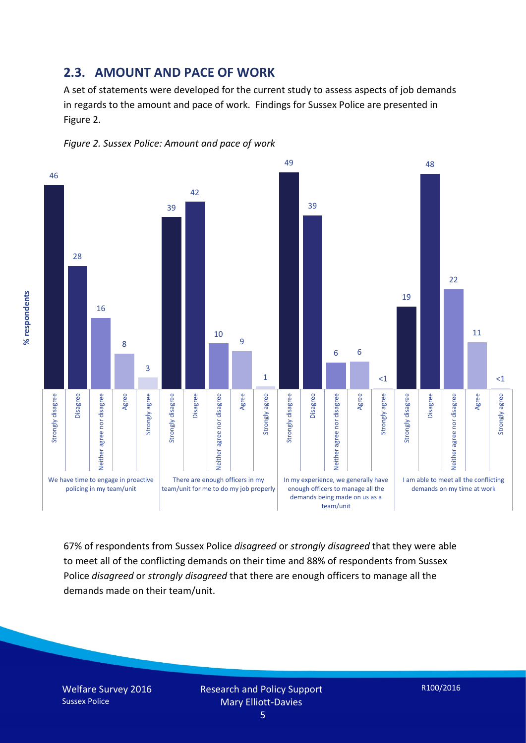#### **2.3. AMOUNT AND PACE OF WORK**

A set of statements were developed for the current study to assess aspects of job demands in regards to the amount and pace of work. Findings for Sussex Police are presented in Figure 2.





67% of respondents from Sussex Police *disagreed* or *strongly disagreed* that they were able to meet all of the conflicting demands on their time and 88% of respondents from Sussex Police *disagreed* or *strongly disagreed* that there are enough officers to manage all the demands made on their team/unit.

Welfare Survey 2016 Sussex Police

% respondents **% respondents**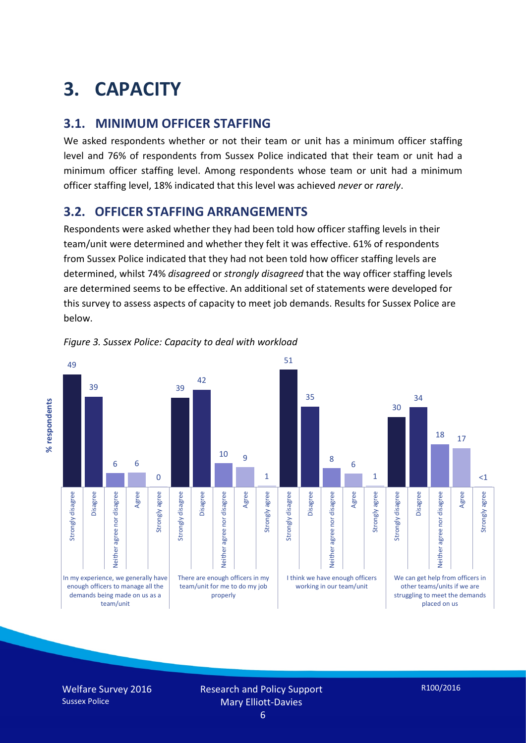# **3. CAPACITY**

#### **3.1. MINIMUM OFFICER STAFFING**

We asked respondents whether or not their team or unit has a minimum officer staffing level and 76% of respondents from Sussex Police indicated that their team or unit had a minimum officer staffing level. Among respondents whose team or unit had a minimum officer staffing level, 18% indicated that this level was achieved *never* or *rarely*.

#### **3.2. OFFICER STAFFING ARRANGEMENTS**

Respondents were asked whether they had been told how officer staffing levels in their team/unit were determined and whether they felt it was effective. 61% of respondents from Sussex Police indicated that they had not been told how officer staffing levels are determined, whilst 74% *disagreed* or *strongly disagreed* that the way officer staffing levels are determined seems to be effective. An additional set of statements were developed for this survey to assess aspects of capacity to meet job demands. Results for Sussex Police are below.



*Figure 3. Sussex Police: Capacity to deal with workload*

Welfare Survey 2016 Sussex Police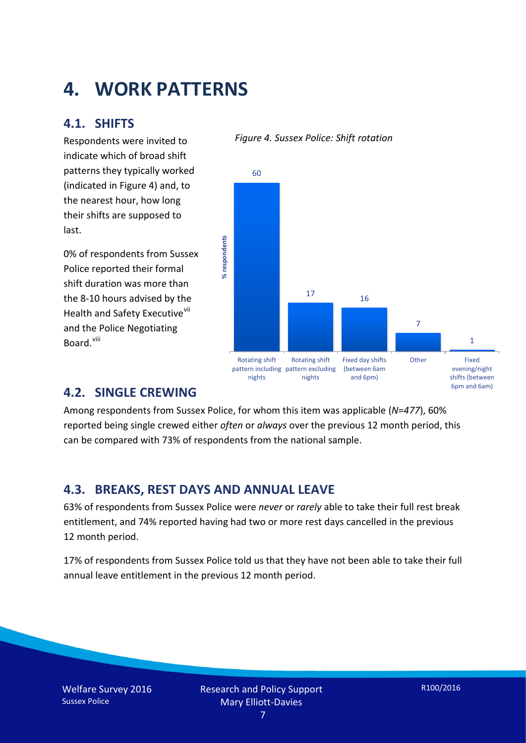## **4. WORK PATTERNS**

#### **4.1. SHIFTS**

Respondents were invited to indicate which of broad shift patterns they typically worked (indicated in Figure 4) and, to the nearest hour, how long their shifts are supposed to last.

0% of respondents from Sussex Police reported their formal shift duration was more than the 8-10 hours advised by the Health and Safety Executive<sup>[vii](#page-15-6)</sup> and the Police Negotiating Board.<sup>[viii](#page-15-7)</sup>

#### *Figure 4. Sussex Police: Shift rotation*



#### **4.2. SINGLE CREWING**

Among respondents from Sussex Police, for whom this item was applicable (*N*=*477*), 60% reported being single crewed either *often* or *always* over the previous 12 month period, this can be compared with 73% of respondents from the national sample.

#### **4.3. BREAKS, REST DAYS AND ANNUAL LEAVE**

63% of respondents from Sussex Police were *never* or *rarely* able to take their full rest break entitlement, and 74% reported having had two or more rest days cancelled in the previous 12 month period.

17% of respondents from Sussex Police told us that they have not been able to take their full annual leave entitlement in the previous 12 month period.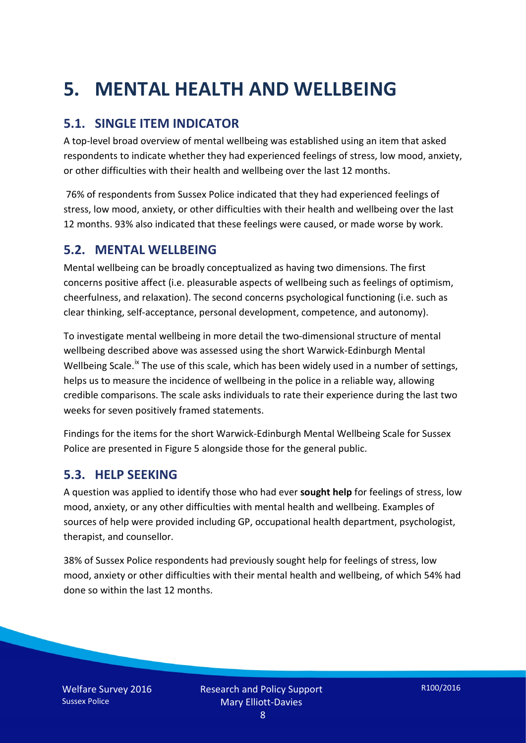# **5. MENTAL HEALTH AND WELLBEING**

#### **5.1. SINGLE ITEM INDICATOR**

A top-level broad overview of mental wellbeing was established using an item that asked respondents to indicate whether they had experienced feelings of stress, low mood, anxiety, or other difficulties with their health and wellbeing over the last 12 months.

76% of respondents from Sussex Police indicated that they had experienced feelings of stress, low mood, anxiety, or other difficulties with their health and wellbeing over the last 12 months. 93% also indicated that these feelings were caused, or made worse by work.

#### **5.2. MENTAL WELLBEING**

Mental wellbeing can be broadly conceptualized as having two dimensions. The first concerns positive affect (i.e. pleasurable aspects of wellbeing such as feelings of optimism, cheerfulness, and relaxation). The second concerns psychological functioning (i.e. such as clear thinking, self-acceptance, personal development, competence, and autonomy).

To investigate mental wellbeing in more detail the two-dimensional structure of mental wellbeing described above was assessed using the short Warwick-Edinburgh Mental Wellbeing Scale.<sup>[ix](#page-15-8)</sup> The use of this scale, which has been widely used in a number of settings, helps us to measure the incidence of wellbeing in the police in a reliable way, allowing credible comparisons. The scale asks individuals to rate their experience during the last two weeks for seven positively framed statements.

Findings for the items for the short Warwick-Edinburgh Mental Wellbeing Scale for Sussex Police are presented in Figure 5 alongside those for the general public.

#### **5.3. HELP SEEKING**

A question was applied to identify those who had ever **sought help** for feelings of stress, low mood, anxiety, or any other difficulties with mental health and wellbeing. Examples of sources of help were provided including GP, occupational health department, psychologist, therapist, and counsellor.

38% of Sussex Police respondents had previously sought help for feelings of stress, low mood, anxiety or other difficulties with their mental health and wellbeing, of which 54% had done so within the last 12 months.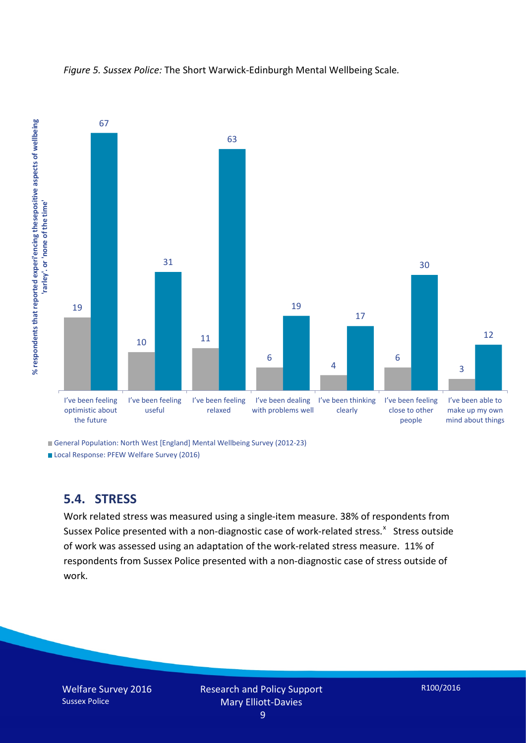

*Figure 5. Sussex Police:* The Short Warwick-Edinburgh Mental Wellbeing Scale*.*

General Population: North West [England] Mental Wellbeing Survey (2012-23)

Local Response: PFEW Welfare Survey (2016)

#### **5.4. STRESS**

Work related stress was measured using a single-item measure. 38% of respondents from Susse[x](#page-15-9) Police presented with a non-diagnostic case of work-related stress.<sup>x</sup> Stress outside of work was assessed using an adaptation of the work-related stress measure. 11% of respondents from Sussex Police presented with a non-diagnostic case of stress outside of work.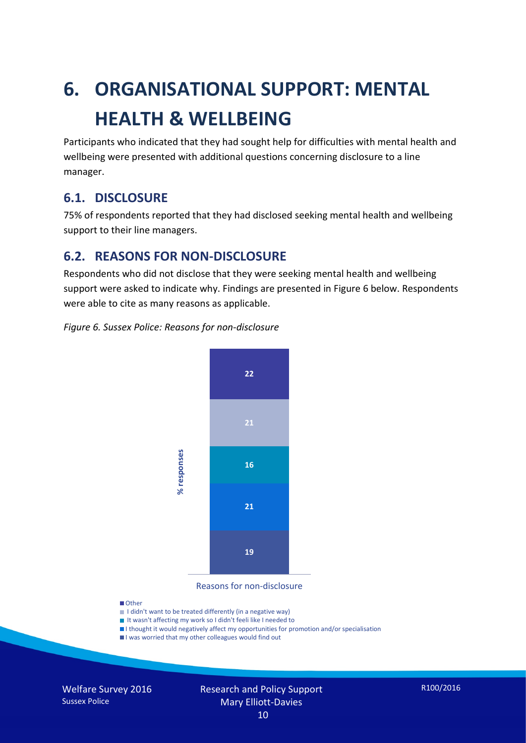# **6. ORGANISATIONAL SUPPORT: MENTAL HEALTH & WELLBEING**

Participants who indicated that they had sought help for difficulties with mental health and wellbeing were presented with additional questions concerning disclosure to a line manager.

#### **6.1. DISCLOSURE**

75% of respondents reported that they had disclosed seeking mental health and wellbeing support to their line managers.

#### **6.2. REASONS FOR NON-DISCLOSURE**

Respondents who did not disclose that they were seeking mental health and wellbeing support were asked to indicate why. Findings are presented in Figure 6 below. Respondents were able to cite as many reasons as applicable.

#### *Figure 6. Sussex Police: Reasons for non-disclosure*



Reasons for non-disclosure

#### **D**Other

- I didn't want to be treated differently (in a negative way)
- I It wasn't affecting my work so I didn't feeli like I needed to
- I thought it would negatively affect my opportunities for promotion and/or specialisation
- I was worried that my other colleagues would find out

Welfare Survey 2016 Sussex Police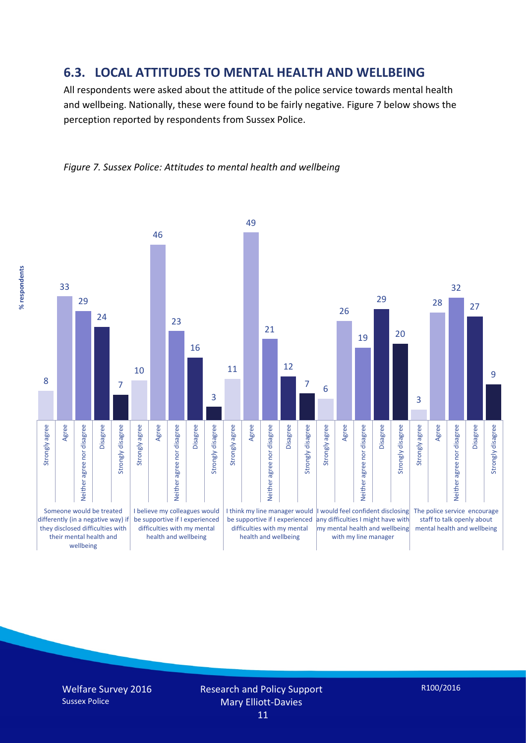#### **6.3. LOCAL ATTITUDES TO MENTAL HEALTH AND WELLBEING**

All respondents were asked about the attitude of the police service towards mental health and wellbeing. Nationally, these were found to be fairly negative. Figure 7 below shows the perception reported by respondents from Sussex Police.





Welfare Survey 2016 Sussex Police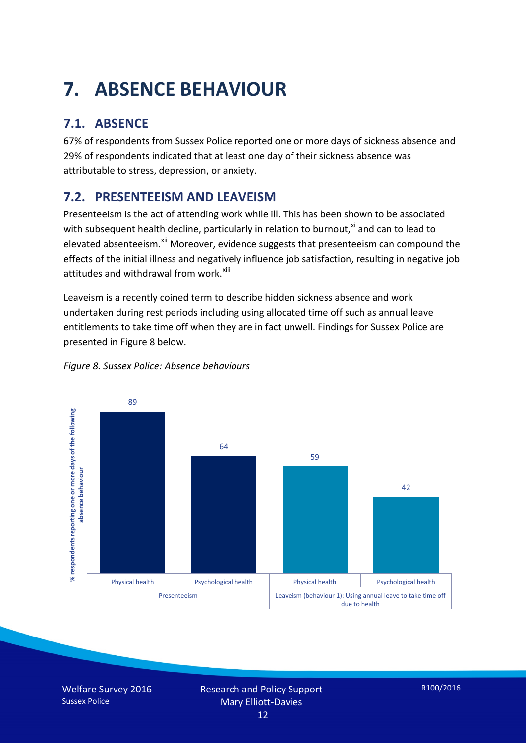# **7. ABSENCE BEHAVIOUR**

## **7.1. ABSENCE**

67% of respondents from Sussex Police reported one or more days of sickness absence and 29% of respondents indicated that at least one day of their sickness absence was attributable to stress, depression, or anxiety.

### **7.2. PRESENTEEISM AND LEAVEISM**

Presenteeism is the act of attending work while ill. This has been shown to be associated with subsequent health decline, particularly in relation to burnout, $x_i$  and can to lead to elevated absenteeism.<sup>[xii](#page-16-1)</sup> Moreover, evidence suggests that presenteeism can compound the effects of the initial illness and negatively influence job satisfaction, resulting in negative job attitudes and withdrawal from work.<sup>[xiii](#page-16-2)</sup>

Leaveism is a recently coined term to describe hidden sickness absence and work undertaken during rest periods including using allocated time off such as annual leave entitlements to take time off when they are in fact unwell. Findings for Sussex Police are presented in Figure 8 below.



*Figure 8. Sussex Police: Absence behaviours*

Welfare Survey 2016 Sussex Police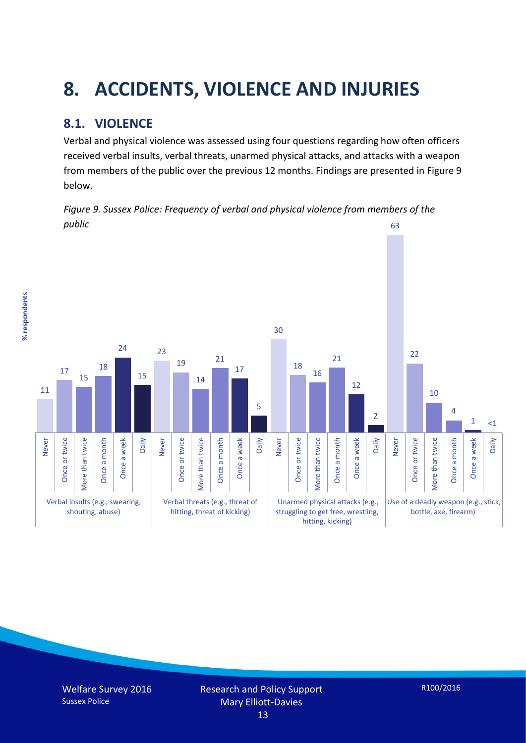# **8. ACCIDENTS, VIOLENCE AND INJURIES**

### **8.1. VIOLENCE**

% respondents **% respondents** Verbal and physical violence was assessed using four questions regarding how often officers received verbal insults, verbal threats, unarmed physical attacks, and attacks with a weapon from members of the public over the previous 12 months. Findings are presented in Figure 9 below.

*Figure 9. Sussex Police: Frequency of verbal and physical violence from members of the public* 63

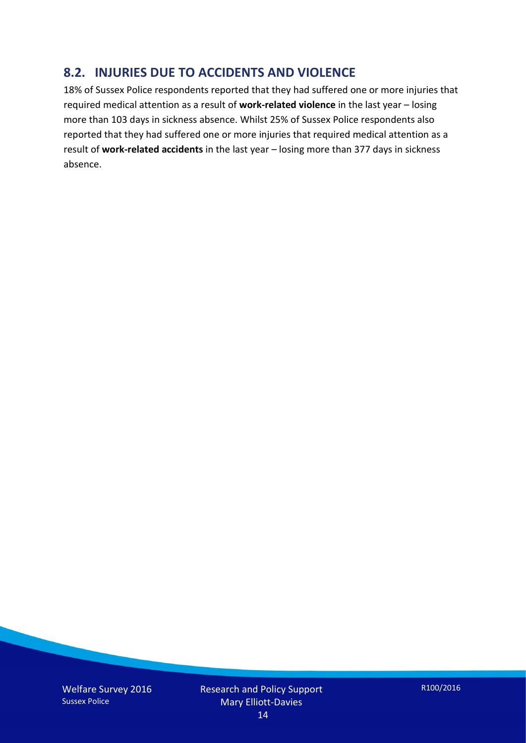#### **8.2. INJURIES DUE TO ACCIDENTS AND VIOLENCE**

18% of Sussex Police respondents reported that they had suffered one or more injuries that required medical attention as a result of **work-related violence** in the last year – losing more than 103 days in sickness absence. Whilst 25% of Sussex Police respondents also reported that they had suffered one or more injuries that required medical attention as a result of **work-related accidents** in the last year – losing more than 377 days in sickness absence.

Welfare Survey 2016 Sussex Police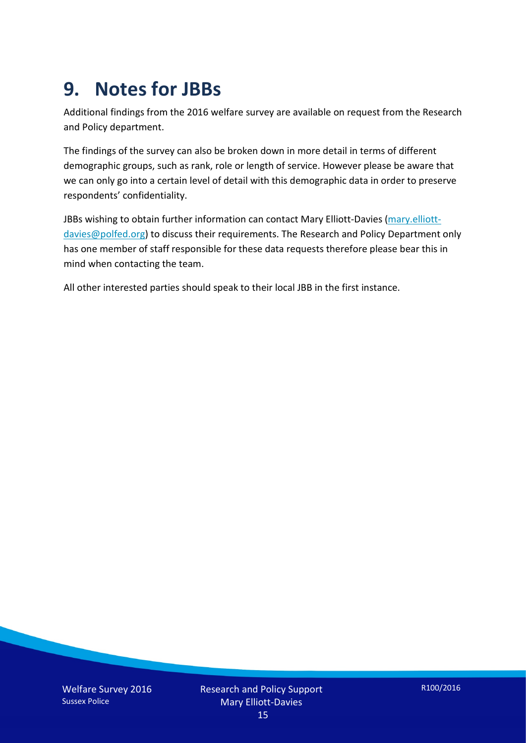## **9. Notes for JBBs**

Additional findings from the 2016 welfare survey are available on request from the Research and Policy department.

The findings of the survey can also be broken down in more detail in terms of different demographic groups, such as rank, role or length of service. However please be aware that we can only go into a certain level of detail with this demographic data in order to preserve respondents' confidentiality.

JBBs wishing to obtain further information can contact Mary Elliott-Davies [\(mary.elliott](mailto:mary.elliott-davies@polfed.org)[davies@polfed.org\)](mailto:mary.elliott-davies@polfed.org) to discuss their requirements. The Research and Policy Department only has one member of staff responsible for these data requests therefore please bear this in mind when contacting the team.

All other interested parties should speak to their local JBB in the first instance.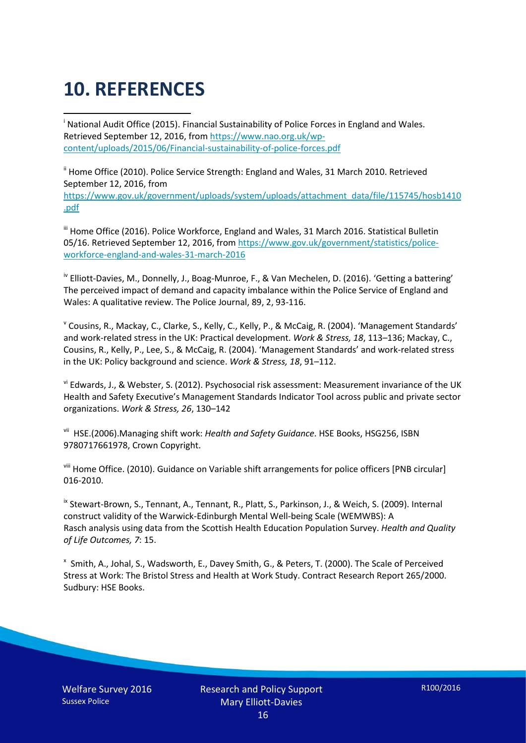# **10. REFERENCES**

<span id="page-15-0"></span>i National Audit Office (2015). Financial Sustainability of Police Forces in England and Wales. Retrieved September 12, 2016, fro[m https://www.nao.org.uk/wp](https://www.nao.org.uk/wp-content/uploads/2015/06/Financial-sustainability-of-police-forces.pdf)[content/uploads/2015/06/Financial-sustainability-of-police-forces.pdf](https://www.nao.org.uk/wp-content/uploads/2015/06/Financial-sustainability-of-police-forces.pdf)

<span id="page-15-1"></span><sup>ii</sup> Home Office (2010). Police Service Strength: England and Wales, 31 March 2010. Retrieved September 12, 2016, from [https://www.gov.uk/government/uploads/system/uploads/attachment\\_data/file/115745/hosb1410](https://www.gov.uk/government/uploads/system/uploads/attachment_data/file/115745/hosb1410.pdf) [.pdf](https://www.gov.uk/government/uploads/system/uploads/attachment_data/file/115745/hosb1410.pdf)

<span id="page-15-2"></span><sup>iii</sup> Home Office (2016). Police Workforce, England and Wales, 31 March 2016. Statistical Bulletin 05/16. Retrieved September 12, 2016, fro[m https://www.gov.uk/government/statistics/police](https://www.gov.uk/government/statistics/police-workforce-england-and-wales-31-march-2016)[workforce-england-and-wales-31-march-2016](https://www.gov.uk/government/statistics/police-workforce-england-and-wales-31-march-2016)

<span id="page-15-3"></span><sup>iv</sup> Elliott-Davies, M., Donnelly, J., Boag-Munroe, F., & Van Mechelen, D. (2016). 'Getting a battering' The perceived impact of demand and capacity imbalance within the Police Service of England and Wales: A qualitative review. The Police Journal, 89, 2, 93-116.

<span id="page-15-4"></span><sup>v</sup> Cousins, R., Mackay, C., Clarke, S., Kelly, C., Kelly, P., & McCaig, R. (2004). 'Management Standards' and work-related stress in the UK: Practical development. *Work & Stress, 18*, 113–136; Mackay, C., Cousins, R., Kelly, P., Lee, S., & McCaig, R. (2004). 'Management Standards' and work-related stress in the UK: Policy background and science. *Work & Stress, 18*, 91–112.

<span id="page-15-5"></span>vi Edwards, J., & Webster, S. (2012). Psychosocial risk assessment: Measurement invariance of the UK Health and Safety Executive's Management Standards Indicator Tool across public and private sector organizations. *Work & Stress, 26*, 130–142

<span id="page-15-6"></span>vii HSE.(2006).Managing shift work: *Health and Safety Guidance*. HSE Books, HSG256, ISBN 9780717661978, Crown Copyright.

<span id="page-15-7"></span>viii Home Office. (2010). Guidance on Variable shift arrangements for police officers [PNB circular] 016-2010.

<span id="page-15-8"></span><sup>ix</sup> Stewart-Brown, S., Tennant, A., Tennant, R., Platt, S., Parkinson, J., & Weich, S. (2009). Internal construct validity of the Warwick-Edinburgh Mental Well-being Scale (WEMWBS): A Rasch analysis using data from the Scottish Health Education Population Survey. *Health and Quality of Life Outcomes, 7*: 15.

<span id="page-15-9"></span>x Smith, A., Johal, S., Wadsworth, E., Davey Smith, G., & Peters, T. (2000). The Scale of Perceived Stress at Work: The Bristol Stress and Health at Work Study. Contract Research Report 265/2000. Sudbury: HSE Books.